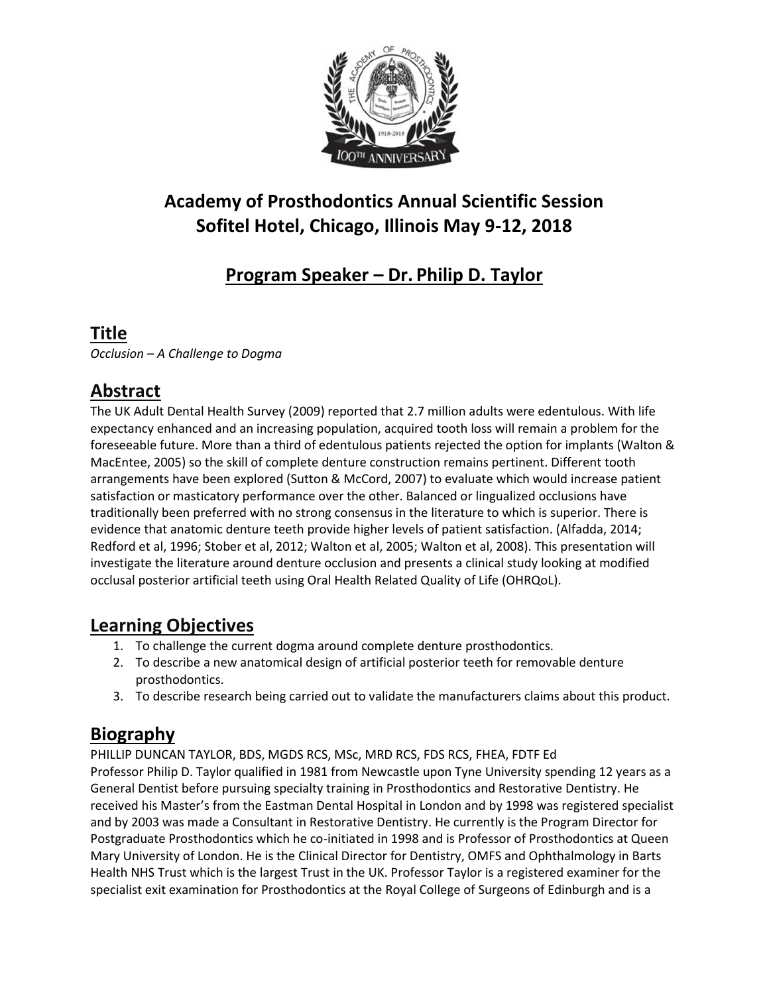

# **Academy of Prosthodontics Annual Scientific Session Sofitel Hotel, Chicago, Illinois May 9-12, 2018**

## **Program Speaker – Dr. Philip D. Taylor**

### **Title**

*Occlusion – A Challenge to Dogma*

## **Abstract**

The UK Adult Dental Health Survey (2009) reported that 2.7 million adults were edentulous. With life expectancy enhanced and an increasing population, acquired tooth loss will remain a problem for the foreseeable future. More than a third of edentulous patients rejected the option for implants (Walton & MacEntee, 2005) so the skill of complete denture construction remains pertinent. Different tooth arrangements have been explored (Sutton & McCord, 2007) to evaluate which would increase patient satisfaction or masticatory performance over the other. Balanced or lingualized occlusions have traditionally been preferred with no strong consensus in the literature to which is superior. There is evidence that anatomic denture teeth provide higher levels of patient satisfaction. (Alfadda, 2014; Redford et al, 1996; Stober et al, 2012; Walton et al, 2005; Walton et al, 2008). This presentation will investigate the literature around denture occlusion and presents a clinical study looking at modified occlusal posterior artificial teeth using Oral Health Related Quality of Life (OHRQoL).

#### **Learning Objectives**

- 1. To challenge the current dogma around complete denture prosthodontics.
- 2. To describe a new anatomical design of artificial posterior teeth for removable denture prosthodontics.
- 3. To describe research being carried out to validate the manufacturers claims about this product.

### **Biography**

PHILLIP DUNCAN TAYLOR, BDS, MGDS RCS, MSc, MRD RCS, FDS RCS, FHEA, FDTF Ed Professor Philip D. Taylor qualified in 1981 from Newcastle upon Tyne University spending 12 years as a General Dentist before pursuing specialty training in Prosthodontics and Restorative Dentistry. He received his Master's from the Eastman Dental Hospital in London and by 1998 was registered specialist and by 2003 was made a Consultant in Restorative Dentistry. He currently is the Program Director for Postgraduate Prosthodontics which he co-initiated in 1998 and is Professor of Prosthodontics at Queen Mary University of London. He is the Clinical Director for Dentistry, OMFS and Ophthalmology in Barts Health NHS Trust which is the largest Trust in the UK. Professor Taylor is a registered examiner for the specialist exit examination for Prosthodontics at the Royal College of Surgeons of Edinburgh and is a